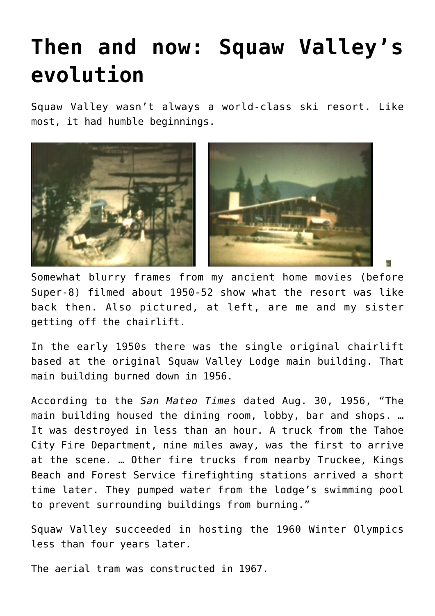## **[Then and now: Squaw Valley's](https://www.laketahoenews.net/2014/07/then-and-now-squaw-valleys-evolution/) [evolution](https://www.laketahoenews.net/2014/07/then-and-now-squaw-valleys-evolution/)**

Squaw Valley wasn't always a world-class ski resort. Like most, it had humble beginnings.



Somewhat blurry frames from my ancient home movies (before Super-8) filmed about 1950-52 show what the resort was like back then. Also pictured, at left, are me and my sister getting off the chairlift.

In the early 1950s there was the single original chairlift based at the original Squaw Valley Lodge main building. That main building burned down in 1956.

According to the *San Mateo Times* dated Aug. 30, 1956, "The main building housed the dining room, lobby, bar and shops. … It was destroyed in less than an hour. A truck from the Tahoe City Fire Department, nine miles away, was the first to arrive at the scene. … Other fire trucks from nearby Truckee, Kings Beach and Forest Service firefighting stations arrived a short time later. They pumped water from the lodge's swimming pool to prevent surrounding buildings from burning."

Squaw Valley succeeded in hosting the 1960 Winter Olympics less than four years later.

The aerial tram was constructed in 1967.